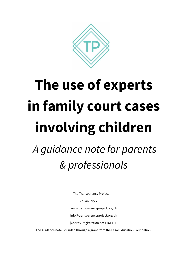

# **The use of experts in family court cases involving children**

# *A guidance note for parents & professionals*

The Transparency Project V2 January 2019 www.transparencyproject.org.uk info@transparencyproject.org.uk (Charity Registration no: 1161471)

The guidance note is funded through a grant from the Legal Education Foundation.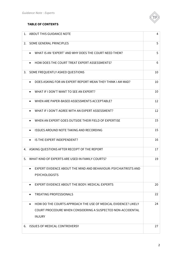

#### **TABLE OF CONTENTS**

| 1. | ABOUT THIS GUIDANCE NOTE                                               | 4  |
|----|------------------------------------------------------------------------|----|
| 2. | SOME GENERAL PRINCIPLES                                                | 5  |
|    | WHAT IS AN 'EXPERT' AND WHY DOES THE COURT NEED THEM?<br>$\bullet$     | 5  |
|    | HOW DOES THE COURT TREAT EXPERT ASSESSMENTS?<br>$\bullet$              | 6  |
| 3. | SOME FREQUENTLY ASKED QUESTIONS                                        | 10 |
|    | DOES ASKING FOR AN EXPERT REPORT MEAN THEY THINK LAM MAD?<br>$\bullet$ | 10 |
|    | WHAT IF I DON'T WANT TO SEE AN EXPERT?<br>$\bullet$                    | 10 |
|    | WHEN ARE PAPER-BASED ASSESSMENTS ACCEPTABLE?                           | 12 |
|    | WHAT IF I DON'T AGREE WITH AN EXPERT ASSESSMENT?                       | 12 |
|    | WHEN AN EXPERT GOES OUTSIDE THEIR FIELD OF EXPERTISE<br>$\bullet$      | 15 |
|    | <b>ISSUES AROUND NOTE TAKING AND RECORDING</b><br>$\bullet$            | 15 |
|    | IS THE EXPERT INDEPENDENT?<br>$\bullet$                                | 16 |
| 4. | ASKING QUESTIONS AFTER RECEIPT OF THE REPORT                           | 17 |
| 5. | WHAT KIND OF EXPERTS ARE USED IN FAMILY COURTS?                        | 19 |
|    | EXPERT EVIDENCE ABOUT THE MIND AND BEHAVIOUR: PSYCHIATRISTS AND        |    |
|    | <b>PSYCHOLOGISTS</b>                                                   |    |
|    | EXPERT EVIDENCE ABOUT THE BODY: MEDICAL EXPERTS<br>$\bullet$           | 20 |
|    | TREATING PROFESSIONALS                                                 | 22 |
|    | HOW DO THE COURTS APPROACH THE USE OF MEDICAL EVIDENCE? LIKELY         | 24 |
|    | COURT PROCEDURE WHEN CONSIDERING A SUSPECTED NON-ACCIDENTAL            |    |
|    | <b>INJURY</b>                                                          |    |
| 6. | <b>ISSUES OF MEDICAL CONTROVERSY</b>                                   | 27 |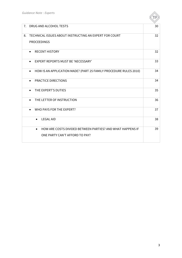

| 7. | DRUG AND ALCOHOL TESTS                                                         | 30 |
|----|--------------------------------------------------------------------------------|----|
| 8. | TECHNICAL ISSUES ABOUT INSTRUCTING AN EXPERT FOR COURT                         | 32 |
|    |                                                                                |    |
|    | <b>PROCEEDINGS</b>                                                             |    |
|    | <b>RECENT HISTORY</b><br>$\bullet$                                             | 32 |
|    |                                                                                |    |
|    | <b>EXPERT REPORTS MUST BE 'NECESSARY'</b><br>$\bullet$                         | 33 |
|    |                                                                                |    |
|    | HOW IS AN APPLICATION MADE? (PART 25 FAMILY PROCEDURE RULES 2010)<br>$\bullet$ | 34 |
|    |                                                                                |    |
|    | <b>PRACTICE DIRECTIONS</b><br>$\bullet$                                        | 34 |
|    |                                                                                |    |
|    | THE EXPERT'S DUTIES<br>$\bullet$                                               | 35 |
|    |                                                                                |    |
|    | THE LETTER OF INSTRUCTION<br>$\bullet$                                         | 36 |
|    |                                                                                |    |
|    | WHO PAYS FOR THE EXPERT?                                                       | 37 |
|    |                                                                                |    |
|    | <b>LEGAL AID</b>                                                               | 38 |
|    |                                                                                |    |
|    | HOW ARE COSTS DIVIDED BETWEEN PARTIES? AND WHAT HAPPENS IF<br>$\bullet$        | 39 |
|    | ONE PARTY CAN'T AFFORD TO PAY?                                                 |    |
|    |                                                                                |    |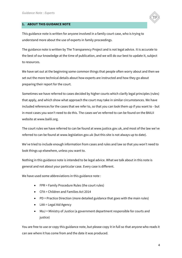

This guidance note is written for anyone involved in a family court case, who is trying to understand more about the use of experts in family proceedings.

The guidance note is written by The Transparency Project and is not legal advice. It is accurate to the best of our knowledge at the time of publication, and we will do our best to update it, subject to resources.

We have set out at the beginning some common things that people often worry about and then we set out the more technical details about how experts are instructed and how they go about preparing their report for the court.

Sometimes we have referred to cases decided by higher courts which clarify legal principles (rules) that apply, and which show what approach the court may take in similar circumstances. We have included references for the cases that we refer to, so that you can look them up if you want to - but in most cases you won't need to do this. The cases we've referred to can be found on the BAILII website at www.bailii.org.

The court rules we have referred to can be found at www.justice.gov.uk, and most of the law we've referred to can be found at www.legislation.gov.uk (but this site is not always up to date).

We've tried to include enough information from cases and rules and law so that you won't need to look things up elsewhere, unless you want to.

Nothing in this guidance note is intended to be legal advice. What we talk about in this note is general and not about your particular case. Every case is different.

We have used some abbreviations in this guidance note :

- FPR = Family Procedure Rules (the court rules)
- CFA = Children and Families Act 2014
- PD = Practice Direction (more detailed guidance that goes with the main rules)
- LAA = Legal Aid Agency
- MoJ = Ministry of Justice (a government department responsible for courts and justice)

You are free to use or copy this guidance note, but please copy it in full so that anyone who reads it can see where it has come from and the date it was produced.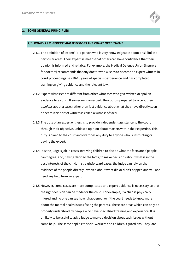

#### **2. SOME GENERAL PRINCIPLES**

#### *2.1. WHAT IS AN 'EXPERT' AND WHY DOES THE COURT NEED THEM?*

- 2.1.1.The definition of 'expert' is 'a person who is very knowledgeable about or skilful in a particular area'. Their expertise means that others can have confidence that their opinion is informed and reliable. For example, the Medical Defence Union (insurers for doctors) recommends that any doctor who wishes to become an expert witness in court proceedings has 10-15 years of specialist experience and has completed training on giving evidence and the relevant law.
- 2.1.2.Expert witnesses are different from other witnesses who give written or spoken evidence to a court. If someone is an expert, the court is prepared to accept their *opinions* about a case, rather than just evidence about what they have directly seen or heard (this sort of witness is called a witness of fact).
- 2.1.3.The duty of an expert witness is to provide independent assistance to the court through their objective, unbiased opinion about matters within their expertise. This duty is owed to the court and overrides any duty to anyone who is instructing or paying the expert.
- 2.1.4.It is the judge's job in cases involving children to decide what the facts are if people can't agree, and, having decided the facts, to make decisions about what is in the best interests of the child. In straightforward cases, the judge can rely on the evidence of the people directly involved about what did or didn't happen and will not need any help from an expert.
- 2.1.5.However, some cases are more complicated and expert evidence is necessary so that the right decision can be made for the child. For example, if a child is physically injured and no one can say how it happened, or if the court needs to know more about the mental health issues facing the parents. These are areas which can only be properly understood by people who have specialised training and experience. It is unlikely to be useful to ask a judge to make a decision about such issues without some help. The same applies to social workers and children's guardians. They are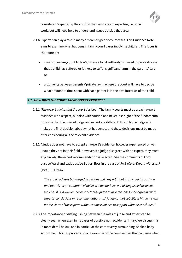

considered 'experts' by the court in their own area of expertise, i.e. social work, but will need help to understand issues outside that area.

- 2.1.6.Experts can play a role in many different types of court cases. This Guidance Note aims to examine what happens in family court cases involving children. The focus is therefore on:
	- care proceedings ('public law'), where a local authority will need to prove its case that a child has suffered or is likely to suffer significant harm in the parents' care; or
	- arguments between parents ('private law'), where the court will have to decide what amount of time spent with each parent is in the best interests of the child.

#### *2.2. HOW DOES THE COURT TREAT EXPERT EVIDENCE?*

- 2.2.1.*'The expert advises but the court decides' :* The family courts must approach expert evidence with respect, but also with caution and never lose sight of the fundamental principle that the roles of judge and expert are different. It is only the judge who makes the final decision about what happened, and these decisions must be made after considering all the relevant evidence.
- 2.2.2.A judge does not have to accept an expert's evidence, however experienced or well known they are in their field. However, if a judge disagrees with an expert, they must explain *why* the expert recommendation is rejected. See the comments of Lord Justice Ward and Lady Justice Butler-Sloss in the case of *Re B (Care: Expert Witnesses)* [1996] 1 FLR 667:

*The expert advises but the judge decides …An expert is not in any special position and there is no presumption of belief in a doctor however distinguished he or she may be. It is, however, necessary for the judge to give reasons for disagreeing with experts' conclusions or recommendations… A judge cannot substitute his own views for the views of the experts without some evidence to support what he concludes."*

2.2.3.The importance of distinguishing between the roles of judge and expert can be clearly seen when examining cases of possible non-accidental injury. We discuss this in more detail below, and in particular the controversy surrounding 'shaken baby syndrome'. This has proved a strong example of the complexities that can arise when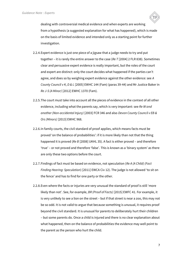

dealing with controversial medical evidence and when experts are working from a hypothesis (a suggested explanation for what has happened), which is made on the basis of limited evidence and intended only as a starting point for further investigation.

- 2.2.4.Expert evidence is just one piece of a jigsaw that a judge needs to try and put together – it is rarely the entire answer to the case (*Re T* [2004] 2 FLR 838). Sometimes clear and persuasive expert evidence is really important, but the roles of the court and expert are distinct: only the court decides what happened if the parties can't agree, and does so by weighing expert evidence against the other evidence: see *A County Council v K, D & L* [2005] EWHC 144 (Fam) (paras 39-44) and Mr Justice Baker in *Re J-S (A Minor)* [2012] EWHC 1370 (Fam).
- 2.2.5.The court must take into account all the pieces of evidence in the context of all other evidence, including what the parents say, which is very important: see *Re W and another (Non-accidental Injury)* [2003] FCR 346 and also *Devon County Council v EB & Ors (Minors)* [2013] EWHC 968.
- 2.2.6.In family courts, the civil standard of proof applies, which means facts must be proved 'on the balance of probabilities': if it is more likely than not that the thing happened it is proved (*Re B* [2008] UKHL 35). A fact is either proved – and therefore 'true' – or not proved and therefore 'false'. This is known as a 'binary system' as there are only these two options before the court.
- 2.2.7.Findings of fact must be based on evidence, not speculation (*Re A (A Child) (Fact Finding Hearing: Speculation*) [2011] EWCA Civ 12). The judge is not allowed 'to sit on the fence' and has to find for one party or the other.
- 2.2.8.Even where the facts or injuries are very unusual the standard of proof is still 'more likely than not'. See, for example, *BR (Proof of Facts)* [2015] EWFC 41. For example, it is very unlikely to see a lion on the street – but if that street is near a zoo, this may not be so odd. It is not valid to argue that because something is unusual, it requires proof beyond the civil standard. It is unusual for parents to deliberately hurt their children – but some parents do. Once a child is injured and there is no clear explanation about what happened, then on the balance of probabilities the evidence may well point to the parent as the person who hurt the child.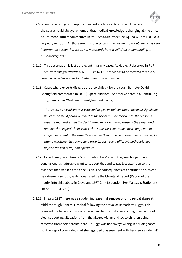

2.2.9.When considering how important expert evidence is to any court decision, the court should always remember that medical knowledge is changing all the time. As Professor Luthert commented in *R v Harris and Others* [2005] EWCA Crim 1980: *It is very easy to try and fill those areas of ignorance with what we know, but I think it is very important to accept that we do not necessarily have a sufficient understanding to explain every case.* 

- 2.2.10. This observation is just as relevant in family cases. As Hedley J observed in *Re R (Care Proceedings Causation)* [2011] EWHC 1715: *there has to be factored into every case…a consideration as to whether the cause is unknown.*
- 2.2.11. Cases where experts disagree are also difficult for the court. Barrister David Bedingfield commented in 2013 (Expert Evidence - Another Chapter in a Continuing Story, Family Law Week www.familylawweek.co.uk):

*The expert, as we all know, is expected to give an opinion about the most significant issues in a case. A paradox underlies the use of all expert evidence: the reason an expert is required is that the decision-maker lacks the expertise of the expert and requires that expert's help. How is that same decision-maker also competent to judge the content of the expert's evidence? How is the decision-maker to choose, for example between two competing experts, each using different methodologies beyond the ken of any non-specialist?* 

- 2.2.12. Experts may be victims of 'confirmation bias' i.e. if they reach a particular conclusion, it's natural to want to support that and to pay less attention to the evidence that weakens the conclusion. The consequences of confirmation bias can be extremely serious, as demonstrated by the Cleveland Report (Report of the inquiry into child abuse in Cleveland 1987 Cm 412 London: Her Majesty's Stationery Office 0 10 104122 5).
- 2.2.13. In early 1987 there was a sudden increase in diagnoses of child sexual abuse at Middlesbrough General Hospital following the arrival of Dr Marietta Higgs. This revealed the tensions that can arise when child sexual abuse is diagnosed without clear supporting allegations from the alleged victim and led to children being removed from their parents' care. Dr Higgs was not always wrong in her diagnoses but the Report concluded that she regarded disagreement with her views as 'denial'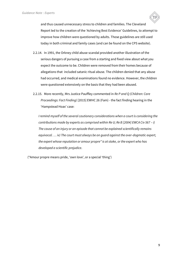

- 2.2.14. In 1991, the Orkney child abuse scandal provided another illustration of the serious dangers of pursuing a case from a starting and fixed view about what you expect the outcome to be. Children were removed from their homes because of allegations that included satanic ritual abuse. The children denied that any abuse had occurred, and medical examinations found no evidence. However, the children were questioned extensively on the basis that they had been abused.
- 2.2.15. More recently, Mrs Justice Pauffley commented in *Re P and Q (Children: Care Proceedings: Fact Finding)* [2015] EWHC 26 (Fam) - the fact finding hearing in the 'Hampstead Hoax' case:

*I remind myself of the several cautionary considerations when a court is considering the contributions made by experts as comprised within Re U; Re B [2004] EWCA Civ 567 - i) The cause of an injury or an episode that cannot be explained scientifically remains equivocal. … iv) The court must always be on guard against the over-dogmatic expert, the expert whose reputation or amour propre\* is at stake, or the expert who has developed a scientific prejudice*.

(\*Amour propre means pride, 'own love', or a special 'thing')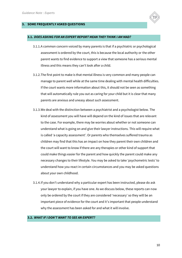

#### **3. SOME FREQUENTLY ASKED QUESTIONS**

#### **3.1.** *DOES ASKING FOR AN EXPERT REPORT MEAN THEY THINK I AM MAD?*

- 3.1.1.A common concern voiced by many parents is that if a psychiatric or psychological assessment is ordered by the court, this is because the local authority or the other parent wants to find evidence to support a view that someone has a serious mental illness and this means they can't look after a child.
- 3.1.2.The first point to make is that mental illness is very common and many people can manage to parent well while at the same time dealing with mental health difficulties. If the court wants more information about this, it should not be seen as something that will automatically rule you out as caring for your child but it is clear that many parents are anxious and uneasy about such assessment.
- 3.1.3.We deal with the distinction between a psychiatrist and a psychologist below. The kind of assessment you will have will depend on the kind of issues that are relevant to the case. For example, there may be worries about whether or not someone can understand what is going on and give their lawyer instructions. This will require what is called 'a capacity assessment'. Or parents who themselves suffered trauma as children may find that this has an impact on how they parent their own children and the court will want to know if there are any therapies or other kind of support that could make things easier for the parent and how quickly the parent could make any necessary changes to their lifestyle. You may be asked to take 'psychometric tests' to understand how you react in certain circumstances and you may be asked questions about your own childhood.
- 3.1.4.If you don't understand why a particular expert has been instructed, please do ask your lawyer to explain, if you have one. As we discuss below, these reports can now only be ordered by the court if they are considered 'necessary' so they will be an important piece of evidence for the court and it's important that people understand why the assessment has been asked for and what it will involve.

#### **3.2.** *WHAT IF I DON'T WANT TO SEE AN EXPERT?*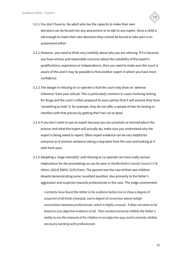

- 3.2.1.You don't have to. No adult who has the capacity to make their own decisions can be forced into any assessment or to talk to any expert. Once a child is old enough to make their own decisions they cannot be forced to take part in an assessment either.
- 3.2.2.However, you need to think very carefully about why you are refusing. If it is because you have serious and reasonable concerns about the suitability of the expert's qualifications, experience or independence, then you need to make sure the court is aware of this and it may be possible to find another expert in whom you have more confidence.
- 3.2.3.The danger in refusing to co-operate is that the court may draw an 'adverse inference' from your refusal. This is particularly common in cases involving testing for drugs and the court is often prepared to warn parties that it will assume they have 'something to hide' if, for example, they do not offer a sample of hair for testing or interfere with that process by getting their hair cut or dyed.
- 3.2.4.If you don't want to see an expert because you are uncertain or worried about the process and what the expert will actually do, make sure you understand why the expert is being asked to report. Often expert evidence can be very helpful for everyone as it involves someone taking a step back from the case and looking at it with fresh eyes.
- 3.2.5.Adopting a 'siege mentality' and refusing to co-operate can have really serious implications for the proceedings as can be seen in *Hertfordshire County Council v F & Others* [2014] EWHC 2159 (Fam). The parents lost the care of their two children despite demonstrating some 'excellent qualities' due primarily to the father's aggression and suspicion towards professionals in the case. The judge commented:

*I certainly have found the father in his evidence before me to show a degree of suspicion of all kinds of people, and a degree of conviction about malign associations between professionals, which is highly unusual. It does not seem to be based on any objective evidence at all. That mindset seriously inhibits the father's ability to see the interests of his children in an objective way and it certainly inhibits necessary working with professionals.*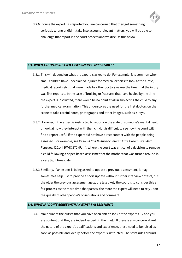

3.2.6.If once the expert has reported you are concerned that they got something seriously wrong or didn't take into account relevant matters, you will be able to challenge that report in the court process and we discuss this below.

#### **3.3.** *WHEN ARE 'PAPER-BASED ASSESSMENTS' ACCEPTABLE?*

- 3.3.1.This will depend on what the expert is asked to do. For example, it is common when small children have unexplained injuries for medical experts to look at the X-rays, medical reports etc. that were made by other doctors nearer the time that the injury was first reported. In the case of bruising or fractures that have healed by the time the expert is instructed, there would be no point at all in subjecting the child to any further medical examination. This underscores the need for the first doctors on the scene to take careful notes, photographs and other images, such as X-rays.
- 3.3.2.However, if the expert is instructed to report on the state of someone's mental health or look at how they interact with their child, it is difficult to see how the court will find a report useful if the expert did not have direct contact with the people being assessed. For example, see *Re NL (A Child) (Appeal: Interim Care Order: Facts And Reasons)* [2014] EWHC 270 (Fam), where the court was critical of a decision to remove a child following a paper-based assessment of the mother that was turned around in a very tight timescale.
- 3.3.3.Similarly, if an expert is being asked to update a previous assessment, it may sometimes help just to provide a short update without further interview or tests, but the older the previous assessment gets, the less likely the court is to consider this a fair process as the more time that passes, the more the expert will need to rely upon the quality of other people's observations and comment.

#### **3.4.** *WHAT IF I DON'T AGREE WITH AN EXPERT ASSESSMENT?*

3.4.1.Make sure at the outset that you have been able to look at the expert's CV and you are content that they are indeed 'expert' in their field. If there is any concern about the nature of the expert's qualifications and experience, these need to be raised as soon as possible and ideally before the expert is instructed. The strict rules around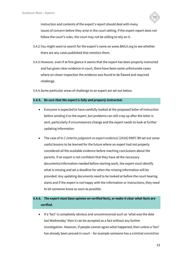

instruction and contents of the expert's report should deal with many issues of concern before they arise in the court setting. If the expert report does not follow the court's rules, the court may not be willing to rely on it.

- 3.4.2.You might want to search for the expert's name on www.BAILII.org to see whether there are any cases published that mention them.
- 3.4.3.However, even if at first glance it seems that the expert has been properly instructed and has given clear evidence in court, there have been some unfortunate cases where on closer inspection the evidence was found to be flawed and required challenge.
- 3.4.4.Some particular areas of challenge to an expert are set out below.

#### **3.4.5.** *Be sure that the expert is fully and properly instructed***.**

- Everyone is expected to have carefully looked at the proposed letter of instruction before sending it to the expert, but problems can still crop up after the letter is sent, particularly if circumstances change and the expert needs to look at further updating information
- The case of In *C (interim judgment on expert evidence)* [2018] EWFC B9 set out some useful lessons to be learned for the future where an expert had not properly considered all the available evidence before reaching conclusions about the parents. If an expert is not confident that they have all the necessary documents/information needed before starting work, the expert must identify what is missing and set a deadline for when the missing information will be provided. Any updating documents need to be looked at before the court hearing starts and if the expert is not happy with the information or instructions, they need to let someone know as soon as possible.

### **3.4.6.** *The expert must base opinion on verified facts, or make it clear what facts are verified***.**

If a 'fact' is completely obvious and uncontroversial such as 'what was the date last Wednesday' then it can be accepted as a fact without any further investigation. However, if people cannot agree what happened, then unless a 'fact' has already been proved in court – for example someone has a criminal conviction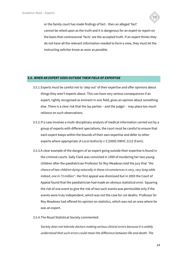

or the family court has made findings of fact - then an alleged 'fact' cannot be relied upon as the truth and it is dangerous for an expert to report on the basis that controversial 'facts' are the accepted truth. If an expert thinks they do not have all the relevant information needed to form a view, they must let the instructing solicitor know as soon as possible.

#### **3.5.** *WHEN AN EXPERT GOES OUTSIDE THEIR FIELD OF EXPERTISE*

- 3.5.1.Experts must be careful not to 'step out' of their expertise and offer opinions about things they aren't experts about. This can have very serious consequences if an expert, rightly recognised as eminent in one field, gives an opinion about something else. There is a clear risk that the lay parties – and the judge! - may place too much reliance on such observations.
- 3.5.2.If a case involves a multi-disciplinary analysis of medical information carried out by a group of experts with different specialisms, the court must be careful to ensure that each expert keeps within the bounds of their own expertise and defer to other experts where appropriate (*A Local Authority v S* [2009] EWHC 2115 (Fam)).
- 3.5.3.A clear example of the dangers of an expert going outside their expertise is found in the criminal courts. Sally Clark was convicted in 1999 of murdering her two young children after the paediatrician Professor Sir Roy Meadows told the jury that *"the chance of two children dying naturally in these circumstances is very, very long odds indeed, one in 73 million"*. Her first appeal was dismissed but in 2003 the Court of Appeal found that the paediatrician had made an obvious statistical error. Squaring the risk of one event to give the risk of two such events was permissible only if the events were truly independent, which was not the case for cot deaths. Professor Sir Roy Meadows had offered his opinion on statistics, which was not an area where he was an expert.
- 3.5.4.The Royal Statistical Society commented:

*Society does not tolerate doctors making serious clinical errors because it is widely understood that such errors could mean the difference between life and death. The*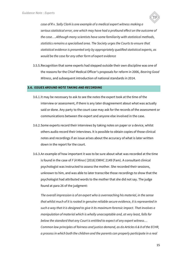

*case of R v. Sally Clark is one example of a medical expert witness making a serious statistical error, one which may have had a profound effect on the outcome of the case….Although many scientists have some familiarity with statistical methods, statistics remains a specialised area. The Society urges the Courts to ensure that statistical evidence is presented only by appropriately qualified statistical experts, as would be the case for any other form of expert evidence* 

3.5.5.Recognition that some experts had stepped outside their own discipline was one of the reasons for the Chief Medical Officer's proposals for reform in 2006, *Bearing Good Witness*, and subsequent introduction of national standards in 2014.

#### **3.6.** *ISSUES AROUND NOTE TAKING AND RECORDING*

- 3.6.1.It may be necessary to ask to see the notes the expert took at the time of the interview or assessment, if there is any later disagreement about what was actually said or done. Any party to the court case may ask for the records of the assessment or communications between the expert and anyone else involved in the case.
- 3.6.2.Some experts record their interviews by taking notes on paper or a device, whilst others audio record their interviews. It is possible to obtain copies of those clinical notes and recordings if an issue arises about the accuracy of what is later written down in the report for the court.
- 3.6.3.An example of how important it was to be sure about what was recorded at the time is found in the case of *F (A Minor)* [2016] EWHC 2149 (Fam). A consultant clinical psychologist was instructed to assess the mother. She recorded their sessions, unknown to him, and was able to later transcribe those recordings to show that the psychologist had attributed words to the mother that she did not say. The judge found at para 26 of the judgment:

*The overall impression is of an expert who is overreaching his material, in the sense that whilst much of it is rooted in genuine reliable secure evidence, it is represented in such a way that it is designed to give it its maximum forensic impact. That involves a manipulation of material which is wholly unacceptable and, at very least, falls far below the standard that any Court is entitled to expect of any expert witness… Common law principles of fairness and justice demand, as do Articles 6 & 8 of the ECHR, a process in which both the children and the parents can properly participate in a real*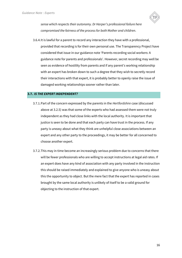

*sense which respects their autonomy. Dr Harper's professional failure here compromised the fairness of the process for both Mother and children*.

3.6.4.It is lawful for a parent to record any interaction they have with a professional, provided that recording is for their own personal use. The Transparency Project have considered that issue in our guidance note 'Parents recording social workers: A guidance note for parents and professionals'. However, secret recording may well be seen as evidence of hostility from parents and if any parent's working relationship with an expert has broken down to such a degree that they wish to secretly record their interactions with that expert, it is probably better to openly raise the issue of damaged working relationships sooner rather than later.

#### **3.7.** *IS THE EXPERT INDEPENDENT?*

- 3.7.1.Part of the concern expressed by the parents in the *Hertfordshire* case (discussed above at 3.2.5) was that some of the experts who had assessed them were not truly independent as they had close links with the local authority. It is important that justice is seen to be done and that each party can have trust in the process. If any party is uneasy about what they think are unhelpful close associations between an expert and any other party to the proceedings, it may be better for all concerned to choose another expert.
- 3.7.2.This may in time become an increasingly serious problem due to concerns that there will be fewer professionals who are willing to accept instructions at legal aid rates. If an expert does have any kind of association with any party involved in the instruction this should be raised immediately and explained to give anyone who is uneasy about this the opportunity to object. But the mere fact that the expert has reported in cases brought by the same local authority is unlikely of itself to be a valid ground for objecting to the instruction of that expert.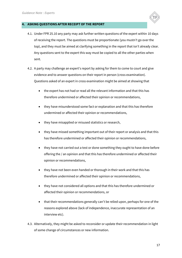

#### **4. ASKING QUESTIONS AFTER RECEIPT OF THE REPORT**

- 4.1. Under FPR 25.10 any party may ask further written questions of the expert within 10 days of receiving the report. The questions must be proportionate (you mustn't go over the top), and they must be aimed at clarifying something in the report that isn't already clear. Any questions sent to the expert this way must be copied to all the other parties when sent.
- 4.2. A party may challenge an expert's report by asking for them to come to court and give evidence and to answer questions on their report in person (cross examination). Questions asked of an expert in cross examination might be aimed at showing that
	- the expert has not had or read all the relevant information and that this has therefore undermined or affected their opinion or recommendations,
	- they have misunderstood some fact or explanation and that this has therefore undermined or affected their opinion or recommendations,
	- they have misapplied or misused statistics or research,
	- they have missed something important out of their report or analysis and that this has therefore undermined or affected their opinion or recommendations,
	- they have not carried out a test or done something they ought to have done before offering the / an opinion and that this has therefore undermined or affected their opinion or recommendations,
	- they have not been even handed or thorough in their work and that this has therefore undermined or affected their opinion or recommendations,
	- they have not considered all options and that this has therefore undermined or affected their opinion or recommendations, or
	- that their recommendations generally can't be relied upon, perhaps for one of the reasons explored above (lack of independence, inaccurate representation of an interview etc).
- 4.3. Alternatively, they might be asked to reconsider or update their recommendation in light of some change of circumstances or new information.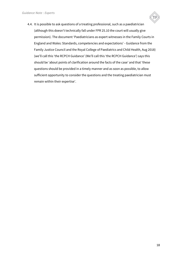

4.4. It is possible to ask questions of a treating professional, such as a paediatrician (although this doesn't technically fall under FPR 25.10 the court will usually give permission). The document 'Paediatricians as expert witnesses in the Family Courts in England and Wales: Standards, competencies and expectations' - Guidance from the Family Justice Council and the Royal College of Paediatrics and Child Health, Aug 2018) (we'll call this 'the RCPCH Guidance' (We'll call this 'the RCPCH Guidance') says this should be 'about points of clarification around the facts of the case' and that 'these questions should be provided in a timely manner and as soon as possible, to allow sufficient opportunity to consider the questions and the treating paediatrician must remain within their expertise'.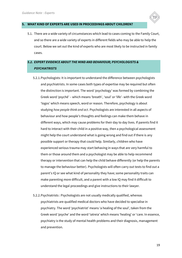

5.1. There are a wide variety of circumstances which lead to cases coming to the Family Court, and so there are a wide variety of experts in different fields who may be able to help the court. Below we set out the kind of experts who are most likely to be instructed in family cases.

## *5.2. EXPERT EVIDENCE ABOUT THE MIND AND BEHAVIOUR; PSYCHOLOGISTS & PSYCHIATRISTS*

- 5.2.1.Psychologists: It is important to understand the difference between psychologists and psychiatrists. In some cases both types of expertise may be required but often the distinction is important. The word 'psychology' was formed by combining the Greek word 'psychē' – which means 'breath', 'soul' or 'life'- with the Greek word 'logos' which means speech, word or reason. Therefore, psychology is about studying *how people think and act*. Psychologists are interested in all aspects of behaviour and how people's thoughts and feelings can make them behave in different ways, which may cause problems for their day to day lives. If parents find it hard to interact with their child in a positive way, then a psychological assessment might help the court understand what is going wrong and find out if there is any possible support or therapy that could help. Similarly, children who have experienced serious trauma may start behaving in ways that are very harmful to them or those around them and a psychologist may be able to help recommend therapy or intervention that can help the child behave differently (or help the parents to manage the behaviour better). Psychologists will often carry out tests to find out a parent's IQ or see what kind of personality they have; some personality traits can make parenting more difficult, and a parent with a low IQ may find it difficult to understand the legal proceedings and give instructions to their lawyer.
- 5.2.2.Psychiatrists : Psychologists are not usually medically qualified, whereas psychiatrists are qualified medical doctors who have decided to specialise in psychiatry. The word 'psychiatrist' means 'a healing of the soul', taken from the Greek word 'psyche' and the word 'iatreia' which means 'healing' or 'care. In essence, psychiatry is the study of mental health problems and their diagnosis, management and prevention.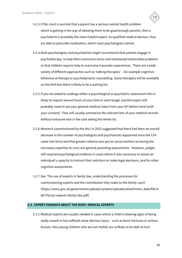

- 5.2.3.If the court is worried that a parent has a serious mental health problem which is getting in the way of allowing them to be good enough parents, then a psychiatrist is probably the more helpful expert. As qualified medical doctors, they are able to prescribe medication, which most psychologists cannot.
- 5.2.4.Both psychologists and psychiatrists might recommend that parents engage in psychotherapy, to help them overcome stress and emotional/relationship problems or that children require help to overcome traumatic experiences. There are a wide variety of different approaches such as 'talking therapies' – for example cognitive behavioural therapy or psychodynamic counselling. Some therapies will be available on the NHS but there is likely to be a waiting list.
- 5.2.5.If you are asked to undergo either a psychological or psychiatric assessment this is likely to require several hours of your time or even longer and the expert will probably need to see your general medical notes from your GP before hand (with your consent). They will usually summarise the relevant bits of your medical records without everyone else in the case seeing the whole lot.
- 5.2.6.Research commissioned by the MoJ in 2015 suggested that there had been an overall decrease in the number of psychologists and psychiatrists appointed since the CFA came into force and that greater reliance was put on social workers as having the necessary expertise to carry out general parenting assessments. However, judges still required psychological evidence in cases where it was necessary to assess an individual's capacity to instruct their solicitors or make legal decisions, and for other cognitive assessments.
- 5.2.7.See 'The use of experts in family law; understanding the processes for commissioning experts and the contribution they make to the family court' [https://www.gov.uk/government/uploads/system/uploads/attachment\_data/file/4 86770/use-experts-family-law.pdf]

#### *5.3. EXPERT EVIDENCE ABOUT THE BODY: MEDICAL EXPERTS*

5.3.1.Medical experts are usually needed in cases where a child is showing signs of being really unwell or has suffered some obvious injury – such as bone fractures or serious bruises. Very young children who are not mobile are unlikely to be able to hurt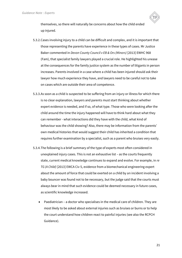

themselves, so there will naturally be concerns about how the child ended up injured.

- 5.3.2.Cases involving injury to a child can be difficult and complex, and it is important that those representing the parents have experience in these types of cases. Mr Justice Baker commented in *Devon County Council v EB & Ors (Minors)* [2013] EWHC 968 (Fam), that specialist family lawyers played a crucial role. He highlighted his unease at the consequences for the family justice system as the number of litigants in person increases. Parents involved in a case where a child has been injured should ask their lawyer how much experience they have, and lawyers need to be careful not to take on cases which are outside their area of competence.
- 5.3.3.As soon as a child is suspected to be suffering from an injury or illness for which there is no clear explanation, lawyers and parents must start thinking about whether expert evidence is needed, and if so, of what type. Those who were looking after the child around the time the injury happened will have to think hard about what they can remember - what interactions did they have with the child, what kind of behaviour was the child showing? Also, there may be information from the parents' own medical histories that would suggest their child has inherited a condition that requires further examination by a specialist, such as a parent who bruises very easily.
- 5.3.4.The following is a brief summary of the type of experts most often considered in unexplained injury cases. This is not an exhaustive list – as the courts frequently state, current medical knowledge continues to expand and evolve. For example, in *re TG (A Child)* [2013] EWCA Civ 5, evidence from a biomechanical engineering expert about the amount of force that could be exerted on a child by an incident involving a baby bouncer was found not to be necessary, but the judge said that the courts must always bear in mind that such evidence could be deemed necessary in future cases, as scientific knowledge increased.
	- Paediatrician a doctor who specialises in the medical care of children. They are most likely to be asked about external injuries such as bruises or burns or to help the court understand how children react to painful injuries (see also the RCPCH Guidance).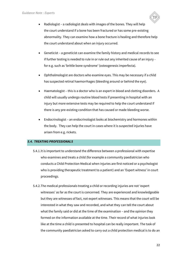

- Radiologist a radiologist deals with images of the bones. They will help the court understand if a bone has been fractured or has some pre-existing abnormality. They can examine how a bone fracture is healing and therefore help the court understand about when an injury occurred.
- Geneticist a geneticist can examine the family history and medical records to see if further testing is needed to rule in or rule out any inherited cause of an injury for e.g. such as 'brittle bone syndrome' (osteogenesis imperfecta).
- Ophthalmologist are doctors who examine eyes. This may be necessary if a child has suspected retinal haemorrhages (bleeding around or behind the eye).
- Haematologist this is a doctor who is an expert in blood and clotting disorders. A child will usually undergo routine blood tests if presenting in hospital with an injury but more extensive tests may be required to help the court understand if there is any pre-existing condition that has caused or made bleeding worse.
- Endocrinologist an endocrinologist looks at biochemistry and hormones within the body. They can help the court in cases where it is suspected injuries have arisen from e.g. rickets.

#### *5.4. TREATING PROFESSIONALS*

- 5.4.1.It is important to understand the difference between a professional with expertise who examines and treats a child (for example a community paediatrician who conducts a Child Protection Medical when injuries are first noticed or a psychologist who is providing therapeutic treatment to a patient) and an 'Expert witness' in court proceedings.
- 5.4.2.The medical professionals treating a child or recording injuries are not 'expert witnesses' as far as the court is concerned. They are experienced and knowledgeable but they are witnesses of fact, not expert witnesses. This means that the court will be interested in what they saw and recorded, and what they can tell the court about what the family said or did at the time of the examination – and the opinion they formed on the information available at the time. Their record of what injuries look like at the time a child is presented to hospital can be really important. The task of the community paediatrician asked to carry out a child protection medical is to do an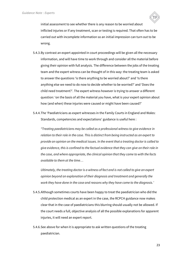

initial assessment to see whether there is any reason to be worried about inflicted injuries or if any treatment, scan or testing is required. That often has to be carried out with incomplete information so an initial impression can turn out to be wrong.

- 5.4.3.By contrast an expert appointed in court proceedings will be given all the necessary information, and will have time to work through and consider all the material before giving their opinion with full analysis. The difference between the jobs of the treating team and the expert witness can be thought of in this way: the treating team is asked to answer the questions 'is there anything to be worried about?' and 'Is there anything else we need to do now to decide whether to be worried?' and 'Does the child need treatment?'. The expert witness however is trying to answer a different question: 'on the basis of all the material you have, what is your expert opinion about how (and when) these injuries were caused or might have been caused?'
- 5.4.4.The 'Paediatricians as expert witnesses in the Family Courts in England and Wales: Standards, competencies and expectations' guidance is useful here :

*"Treating paediatricians may be called as a professional witness to give evidence in relation to their role in the case. This is distinct from being instructed as an expert to provide an opinion on the medical issues. In the event that a treating doctor is called to give evidence, this is confined to the factual evidence that they can give on their role in the case, and where appropriate, the clinical opinion that they came to with the facts available to them at the time…*

*Ultimately, the treating doctor is a witness of fact and is not called to give an expert opinion beyond an explanation of their diagnosis and treatment and generally the work they have done in the case and reasons why they have come to the diagnosis.'*

- 5.4.5.Although sometimes courts have been happy to treat the paediatrician who did the child protection medical as an expert in the case, the RCPCH guidance now makes clear that in the case of paediatricians this blurring should usually not be allowed. If the court needs a full, objective analysis of all the possible explanations for apparent injuries, it will need an expert report.
- 5.4.6.See above for when it is appropriate to ask written questions of the treating paediatrician.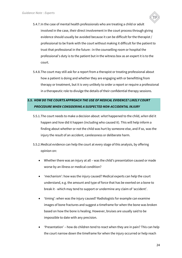

- 5.4.7.In the case of mental health professionals who are treating a child or adult involved in the case, their direct involvement in the court process through giving evidence should usually be avoided because it can be difficult for the therapist / professional to be frank with the court without making it difficult for the patient to trust that professional in the future : in the counselling room or hospital the professional's duty is to the patient but in the witness box as an expert it is to the court.
- 5.4.8.The court may still ask for a report from a therapist or treating professional about how a patient is doing and whether they are engaging with or benefitting from therapy or treatment, but it is very unlikely to order a report or require a professional in a therapeutic role to divulge the details of their confidential therapy sessions.

# *5.5. HOW DO THE COURTS APPROACH THE USE OF MEDICAL EVIDENCE? LIKELY COURT PROCEDURE WHEN CONSIDERING A SUSPECTED NON-ACCIDENTAL INJURY*

- 5.5.1.The court needs to make a decision about: *what* happened to the child, *when* did it happen and *how* did it happen (including who caused it). This will help inform a finding about whether or not the child was hurt by someone else, and if so, was the injury the result of an accident, carelessness or deliberate harm.
- 5.5.2.Medical evidence can help the court at every stage of this analysis, by offering opinion on:
	- Whether there was an injury at all was the child's presentation caused or made worse by an illness or medical condition?
	- 'mechanism': how was the injury caused? Medical experts can help the court understand, e.g. the amount and type of force that has be exerted on a bone to break it - which may tend to support or undermine any claim of 'accident'.
	- 'timing': when was the injury caused? Radiologists for example can examine images of bone fractures and suggest a timeframe for when the bone was broken based on how the bone is healing. However, bruises are usually said to be impossible to date with any precision.
	- 'Presentation' how do children tend to react when they are in pain? This can help the court narrow down the timeframe for when the injury occurred or help reach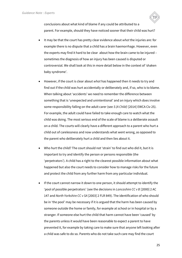

conclusions about what kind of blame if any could be attributed to a parent. For example, should they have noticed sooner that their child was hurt?

- It may be that the court has pretty clear evidence about *what* the injuries are: for example there is no dispute that a child has a brain haemorrhage. However, even the experts may find it hard to be clear about how the brain came to be injured – sometimes the diagnosis of how an injury has been caused is disputed or controversial. We shall look at this in more detail below in the context of 'shaken baby syndrome'.
- However, if the court is clear about *what* has happened then it needs to try and find out if the child was hurt accidentally or deliberately and, if so, who is to blame. When talking about 'accidents' we need to remember the difference between something that is 'unexpected and unintentional' and an injury which does involve some responsibility falling on the adult carer (see *S (A Child)* [2014] EWCA Civ 25). For example, the adult could have failed to take enough care to watch what the child was doing. The most serious end of the scale of blame is a deliberate assault on a child. The courts will clearly have a different approach to a parent who hurt a child out of carelessness and now understands what went wrong, as opposed to the parent who deliberately hurt a child and then lies about it.
- Who hurt the child? The court should not 'strain' to find out who did it, but it is important to try and identify the person or persons responsible (the 'perpetrators'). A child has a right to the clearest possible information about what happened but also the court needs to consider how to manage risks for the future and protect the child from any further harm from any particular individual.
- If the court cannot narrow it down to one person, it should attempt to identify the 'pool of possible perpetrators' (see the decisions in *Lancashire CC v B* [2000] 2 AC 147 and *North Yorkshire CC v SA* [2003] 2 FLR 849). The identification of who should be in 'the pool' may be necessary if it is argued that the harm has been caused by someone outside the home or family, for example at school or in hospital or by a stranger. If someone else hurt the child that harm cannot have been 'caused' by the parents unless it would have been reasonable to expect a parent to have prevented it, for example by taking care to make sure that anyone left looking after a child was safe to do so. Parents who do not take such care may find the court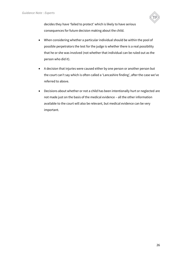

decides they have 'failed to protect' which is likely to have serious consequences for future decision making about the child.

- When considering whether a particular individual should be within the pool of possible perpetrators the test for the judge is whether there is a real possibility that he or she was involved (not whether that individual can be ruled out as the person who did it).
- A decision that injuries were caused either by one person or another person but the court can't say which is often called a 'Lancashire finding', after the case we've referred to above.
- Decisions about whether or not a child has been intentionally hurt or neglected are not made just on the basis of the medical evidence – all the other information available to the court will also be relevant, but medical evidence can be very important.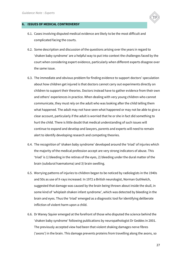

- 6.1. Cases involving disputed medical evidence are likely to be the most difficult and complicated facing the courts.
- 6.2. Some description and discussion of the questions arising over the years in regard to 'shaken baby syndrome' are a helpful way to put into context the challenges faced by the court when considering expert evidence, particularly when different experts disagree over the same issue.
- 6.3. The immediate and obvious problem for finding evidence to support doctors' speculation about how children get injured is that doctors cannot carry out experiments directly on children to support their theories. Doctors instead have to gather evidence from their own and others' experiences in practice. When dealing with very young children who cannot communicate, they must rely on the adult who was looking after the child telling them what happened. The adult may not have seen what happened or may not be able to give a clear account, particularly if the adult is worried that he or she in fact did something to hurt the child. There is little doubt that medical understanding of such issues will continue to expand and develop and lawyers, parents and experts will need to remain alert to identify developing research and competing theories.
- 6.4. The recognition of 'shaken baby syndrome' developed around the 'triad' of injuries which the majority of the medical profession accept are very strong indicators of abuse. This 'triad' is 1) bleeding in the retinas of the eyes, 2) bleeding under the dural matter of the brain (subdural haematoma) and 3) brain swelling.
- 6.5. Worrying patterns of injuries to children began to be noticed by radiologists in the 1940s and 50s as use of X-rays increased. In 1972 a British neurologist, Norman Guthkelch, suggested that damage was caused by the brain being thrown about inside the skull, in some kind of 'whiplash shaken infant syndrome', which was detected by bleeding in the brain and eyes. Thus the 'triad' emerged as a diagnostic tool for identifying deliberate infliction of violent harm upon a child.
- 6.6. Dr Waney Squier emerged at the forefront of those who disputed the science behind the 'shaken baby syndrome' following publications by neuropathologist Dr Geddes in 2001. The previously accepted view had been that violent shaking damages nerve fibres ('axons') in the brain. This damage prevents proteins from travelling along the axons, so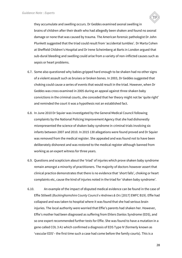

they accumulate and swelling occurs. Dr Geddes examined axonal swelling in brains of children after their death who had allegedly been shaken and found no axonal damage or none that was caused by trauma. The American forensic pathologist Dr John Plunkett suggested that the triad could result from 'accidental tumbles'. Dr Marta Cohen at Sheffield Children's Hospital and Dr Irene Scheimberg at Barts in London argued that sub-dural bleeding and swelling could arise from a variety of non-inflicted causes such as sepsis or heart problems.

- 6.7. Some also questioned why babies gripped hard enough to be shaken had no other signs of a violent assault such as bruises or broken bones. In 2003, Dr Geddes suggested that choking could cause a series of events that would result in the triad. However, when Dr Geddes was cross examined in 2005 during an appeal against three shaken baby convictions in the criminal courts, she conceded that her theory might not be 'quite right' and reminded the court it was a hypothesis not an established fact.
- 6.8. In June 2010 Dr Squier was investigated by the General Medical Council following complaints by the National Policing Improvement Agency that she had dishonestly misrepresented the science of shaken baby syndrome in criminal trials involving six infants between 2007 and 2010. In 2015 130 allegations were found proved and Dr Squier was removed from the medical register. She appealed and was found not to have been deliberately dishonest and was restored to the medical register although banned from working as an expert witness for three years.
- 6.9. Questions and scepticism about the 'triad' of injuries which prove shaken baby syndrome remain amongst a minority of practitioners. The majority of doctors however assert that clinical practice demonstrates that there is no evidence that 'short falls', choking or heart complaints etc, cause the kind of injuries noted in the triad for 'shaken baby syndrome'.
- 6.10. An example of the impact of disputed medical evidence can be found in the case of Effie Stilwell *(Buckinghamshire County Council v Andrews & Ors* [2017] EWFC B19). Effie had collapsed and was taken to hospital where it was found that she had serious brain injuries. The local authority were worried that Effie's parents had shaken her. However, Effie's mother had been diagnosed as suffering from Ehlers Danlos Syndrome (EDS), and so one expert recommended further tests for Effie. She was found to have a mutation in a gene called COL 3 A1 which confirmed a diagnosis of EDS Type IV (formerly known as 'vascular EDS'– the first time such a case had come before the family courts). This is a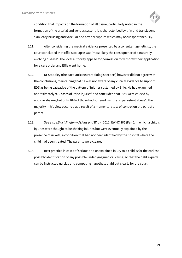

condition that impacts on the formation of all tissue, particularly noted in the formation of the arterial and venous system. It is characterised by thin and translucent skin, easy bruising and vascular and arterial rupture which may occur spontaneously.

- 6.11. After considering the medical evidence presented by a consultant geneticist, the court concluded that Effie's collapse was 'most likely the consequence of a naturally evolving disease'. The local authority applied for permission to withdraw their application for a care order and Effie went home.
- 6.12. Dr Stoodley (the paediatric neuroradiologist expert) however did not agree with the conclusions, maintaining that he was not aware of any clinical evidence to support EDS as being causative of the pattern of injuries sustained by Effie. He had examined approximately 900 cases of 'triad injuries' and concluded that 90% were caused by abusive shaking but only 10% of those had suffered 'wilful and persistent abuse'. The majority in his view occurred as a result of a momentary loss of control on the part of a parent.
- 6.13. See also *LB of Islington v Al Alas and Wray* [2012] EWHC 865 (Fam), in which a child's injuries were thought to be shaking injuries but were eventually explained by the presence of rickets, a condition that had not been identified by the hospital where the child had been treated. The parents were cleared.
- 6.14. Best practice in cases of serious and unexplained injury to a child is for the earliest possibly identification of any possible underlying medical cause, so that the right experts can be instructed quickly and competing hypotheses laid out clearly for the court.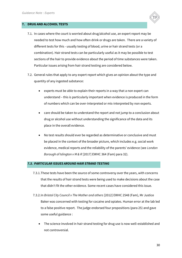

#### **7. DRUG AND ALCOHOL TESTS**

- 7.1. In cases where the court is worried about drug/alcohol use, an expert report may be needed to test how much and how often drink or drugs are taken. There are a variety of different tests for this - usually testing of blood, urine or hair strand tests (or a combination). Hair strand tests can be particularly useful as it may be possible to test sections of the hair to provide evidence about the period of time substances were taken. Particular issues arising from hair strand testing are considered below.
- 7.2. General rules that apply to any expert report which gives an opinion about the type and quantity of any ingested substance:
	- experts must be able to explain their reports in a way that a non expert can understand – this is particularly important when evidence is produced in the form of numbers which can be over-interpreted or mis-interpreted by non experts.
	- care should be taken to understand the report and not jump to a conclusion about drug or alcohol use without understanding the significance of the data and its place in the overall evidence.
	- No test results should ever be regarded as determinative or conclusive and must be placed in the context of the broader picture, which includes e.g. social work evidence, medical reports and the reliability of the parents' evidence (see *London Borough of Islington v M & R* [2017] EWHC 364 (Fam) para 32).

#### *7.3. PARTICULAR ISSUES AROUND HAIR STRAND TESTING*

- 7.3.1.These tests have been the source of some controversy over the years, with concerns that the results of hair strand tests were being used to make decisions about the case that didn't fit the other evidence. Some recent cases have considered this issue.
- 7.3.2.In *Bristol City Council v The Mother and others* [2012] EWHC 2548 (Fam), Mr Justice Baker was concerned with testing for cocaine and opiates. Human error at the lab led to a false positive report. The judge endorsed four propositions (para 25) and gave some useful guidance :
	- The science involved in hair strand testing for drug use is now well-established and not controversial.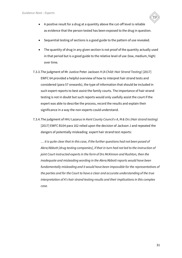

- Sequential testing of sections is a good guide to the pattern of use revealed.
- The quantity of drug in any given section is not proof of the quantity actually used in that period but is a good guide to the relative level of use (low, medium, high) over time.
- 7.3.3.The judgment of Mr Justice Peter Jackson *H (A Child: Hair Strand Testing)* [2017] EWFC 64 provided a helpful overview of how to interpret hair strand tests and considered (para 57 onwards), the type of information that should be included in such expert reports to best assist the family courts. The importance of hair strand testing is not in doubt but such reports would only usefully assist the court if the expert was able to describe the process, record the results and explain their significance in a way the non-experts could understand.
- 7.3.4.The judgment of HHJ Lazarus in *Kent County Council v A, M & Ors (Hair strand testing)*  [2017] EWFC B104 para 162 relied upon the decision of Jackson J and repeated the dangers of potentially misleading expert hair strand test reports:

… *it is quite clear that in this case, if the further questions had not been posed of Alere/Abbott [drug testing companies], if that in turn had not led to the instruction of joint Court instructed experts in the form of Drs McKinnon and Rushton, then the inadequate and misleading wording in the Alere/Abbott reports would have been fundamentally misleading and it would have been impossible for the representatives of the parties and for the Court to have a clear and accurate understanding of the true interpretation of A's hair strand testing results and their implications in this complex case.*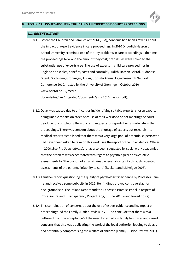#### **8. TECHNICAL ISSUES ABOUT INSTRUCTING AN EXPERT FOR COURT PROCEEDINGS**

#### *8.1. RECENT HISTORY*

8.1.1.Before the Children and Families Act 2014 (CFA), concerns had been growing about the impact of expert evidence in care proceedings. In 2010 Dr Judith Masson of Bristol University examined two of the key problems in care proceedings - the time the proceedings took and the amount they cost; both issues were linked to the substantial use of experts (see 'The use of experts in child care proceedings in England and Wales, benefits, costs and controls', Judith Masson Bristol, Budapest, Ghent, Göttingen, Groningen, Turku, Uppsala Annual Legal Research Network Conference 2010, hosted by the University of Groningen, October 2010 www.bristol.ac.uk/media-

library/sites/law/migrated/documents/alrnc2010masson.pdf).

- 8.1.2.Delay was caused due to difficulties in: identifying suitable experts; chosen experts being unable to take on cases because of their workload or not meeting the court deadline for completing the work; and requests for reports being made late in the proceedings. There was concern about the shortage of experts but research into medical experts established that there was a very large pool of potential experts who had never been asked to take on this work (see the report of the Chief Medical Officer in 2006, *Bearing Good Witness*). It has also been suggested by social work academics that the problem was exacerbated with regard to psychological or psychiatric assessments by 'the pursuit of an unattainable level of certainty through repeated assessments of the parents (in)ability to care' (Beckett and McKeigue 2003).
- 8.1.3.A further report questioning the quality of psychologists' evidence by Professor Jane Ireland received some publicity in 2012. Her findings proved controversial (for background see 'The Ireland Report and the Fitness to Practise Panel in respect of Professor Ireland', Transparency Project Blog, 6 June 2016 – and linked posts).
- 8.1.4.This combination of concerns about the use of expert evidence and its impact on proceedings led the Family Justice Review in 2011 to conclude that there was a culture of 'routine acceptance' of the need for experts in family law cases and raised concerns that this was duplicating the work of the local authority, leading to delays and potentially compromising the welfare of children (Family Justice Review, 2011).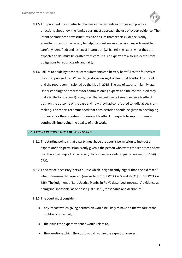

8.1.6.Failure to abide by these strict requirements can be very harmful to the fairness of the court proceedings. When things do go wrong it is clear that feedback is useful and the report commissioned by the MoJ in 2015 (The use of experts in family law: Understanding the processes for commissioning experts and the contribution they make to the family court) recognised that experts were keen to receive feedback both on the outcome of the case and how they had contributed to judicial decisionmaking. The report recommended that consideration should be given to developing processes for the consistent provision of feedback to experts to support them in continually improving the quality of their work.

#### *8.2. EXPERT REPORTS MUST BE 'NECESSARY'*

- 8.2.1.The starting point is that a party must have the court's permission to instruct an expert, and this permission is only given if the person who wants the report can show that the expert report is 'necessary' to resolve proceedings justly (see section 13(6) CFA).
- 8.2.2.This test of 'necessary' sets a hurdle which is significantly higher than the old test of what is 'reasonably required' (see *Re TG* [2013] EWCA Civ 5 and *Re HL* [2013] EWCA Civ 655). The judgment of Lord Justice Munby in *Re HL* described 'necessary' evidence as being 'indispensable' as opposed just *'*useful, reasonable and desirable'.

#### 8.2.3. The court must consider :

- any impact which giving permission would be likely to have on the welfare of the children concerned,
- the issues the expert evidence would relate to,
- the questions which the court would require the expert to answer,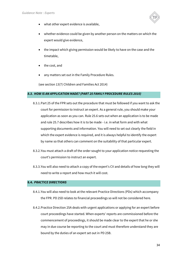

- what other expert evidence is available,
- whether evidence could be given by another person on the matters on which the expert would give evidence,
- the impact which giving permission would be likely to have on the case and the timetable,
- the cost, and
- any matters set out in the Family Procedure Rules.

(see section 13(7) Children and Families Act 2014)

#### *8.3. HOW IS AN APPLICATION MADE? (PART 25 FAMILY PROCEDURE RULES 2010)*

- 8.3.1.Part 25 of the FPR sets out the procedure that must be followed if you want to ask the court for permission to instruct an expert. As a general rule, you should make your application as soon as you can. Rule 25.6 sets out when an application is to be made and rule 25.7 describes how it is to be made - i.e. in what form and with what supporting documents and information. You will need to set out clearly the field in which the expert evidence is required, and it is always helpful to identify the expert by name so that others can comment on the suitability of that particular expert.
- 8.3.2.You must attach a draft of the order sought to your application notice requesting the court's permission to instruct an expert.
- 8.3.3.You will also need to attach a copy of the expert's CV and details of how long they will need to write a report and how much it will cost.

#### **8.4.** *PRACTICE DIRECTIONS*

- 8.4.1.You will also need to look at the relevant Practice Directions (PDs) which accompany the FPR. PD 25D relates to financial proceedings so will not be considered here.
- 8.4.2.Practice Direction 25A deals with urgent applications or applying for an expert before court proceedings have started. When experts' reports are commissioned before the commencement of proceedings, it should be made clear to the expert that he or she may in due course be reporting to the court and must therefore understand they are bound by the duties of an expert set out in PD 25B.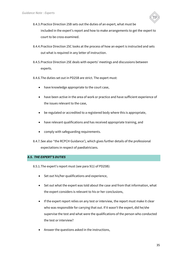

- 8.4.3.Practice Direction 25B sets out the duties of an expert, what must be included in the expert's report and how to make arrangements to get the expert to court to be cross examined.
- 8.4.4.Practice Direction 25C looks at the process of how an expert is instructed and sets out what is required in any letter of instruction.
- 8.4.5.Practice Direction 25E deals with experts' meetings and discussions between experts.
- 8.4.6.The duties set out in PD25B are strict. The expert must:
	- have knowledge appropriate to the court case,
	- have been active in the area of work or practice and have sufficient experience of the issues relevant to the case,
	- be regulated or accredited to a registered body where this is appropriate,
	- have relevant qualifications and has received appropriate training, and
	- comply with safeguarding requirements.
- 8.4.7.See also ''the RCPCH Guidance'), which gives further details of the professional expectations in respect of paediatricians.

#### *8.5. THE EXPERT'S DUTIES*

8.5.1.The expert's report must (see para 9(1) of PD25B):

- Set out his/her qualifications and experience,
- Set out what the expert was told about the case and from that information, what the expert considers is relevant to his or her conclusions,
- If the expert report relies on any test or interview, the report must make it clear who was responsible for carrying that out. If it wasn't the expert, did he/she supervise the test and what were the qualifications of the person who conducted the test or interview?
- Answer the questions asked in the instructions,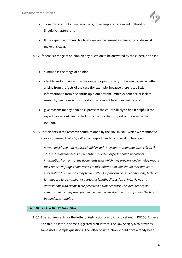

- Take into account all material facts, for example, any relevant cultural or linguistic matters, and
- If the expert cannot reach a final view on the current evidence, he or she must make this clear.

8.5.2.If there is a range of opinion on any question to be answered by the expert, he or she must:

- summarise the range of opinion;
- identify and explain, within the range of opinions, any 'unknown cause', whether arising from the facts of the case (for example, because there is too little information to form a scientific opinion) or from limited experience or lack of research, peer review or support in the relevant field of expertise; and
- give reasons for any opinion expressed: the court is likely to find it helpful if the expert can set out clearly the kind of factors that support or undermine the opinion.
- 8.5.3.Participants in the research commissioned by the MoJ in 2015 which we mentioned above confirmed that a 'good' expert report needed above all to be clear :

*It was considered that reports should include only information that is specific to the case and avoid unnecessary repetition. Further, experts should not repeat information from any of the documents with which they are provided to help prepare their report, as judges have access to this information, nor should they duplicate information from reports they have written for previous cases. Additionally, technical language, a large number of quotes, or lengthy discussion of interviews and assessments with clients were perceived as unnecessary. The ideal report, as summarised by one participant in the peer review discussion groups, was 'technical but understandable'*.

#### *8.6. THE LETTER OF INSTRUCTION*

8.6.1.The requirements for the letter of instruction are strict and set out in PD25C. Annexe A to this PD sets out some suggested draft letters. The Law Society also provides some useful sample questions. The letter of instruction should have already been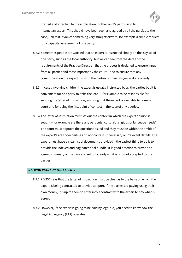

drafted and attached to the application for the court's permission to instruct an expert. This should have been seen and agreed by all the parties to the case, unless it involves something very straightforward, for example a simple request for a capacity assessment of one party.

- 8.6.2.Sometimes people are worried that an expert is instructed simply on the 'say so' of one party, such as the local authority, but we can see from the detail of the requirements of the Practice Direction that the process is designed to ensure input from all parties and most importantly the court – and to ensure that any communication the expert has with the parties or their lawyers is done openly.
- 8.6.3.In cases involving children the expert is usually instructed by all the parties but it is convenient for one party to 'take the lead' – for example to be responsible for sending the letter of instruction, ensuring that the expert is available to come to court and for being the first point of contact in the case of any queries.
- 8.6.4.The letter of instruction must set out the context in which the expert opinion is sought – for example are there any particular cultural, religious or language needs? The court must approve the questions asked and they must be within the ambit of the expert's area of expertise and not contain unnecessary or irrelevant details. The expert must have a clear list of documents provided – the easiest thing to do is to provide the indexed and paginated trial bundle. It is good practice to provide an agreed summary of the case and set out clearly what is or is not accepted by the parties.

#### *8.7. WHO PAYS FOR THE EXPERT?*

- 8.7.1.PD 25C says that the letter of instruction must be clear as to the basis on which the expert is being contracted to provide a report. If the parties are paying using their own money, it is up to them to enter into a contract with the expert to pay what is agreed.
- 8.7.2.However, if the expert is going to be paid by legal aid, you need to know how the Legal Aid Agency (LAA) operates.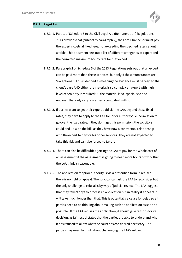



- 8.7.3..2. Paragraph 2 of Schedule 5 of the 2013 Regulations sets out that an expert can be paid more than these set rates, but only if the circumstances are 'exceptional'. This is defined as meaning the evidence must be 'key' to the client's case AND either the material is so complex an expert with high level of seniority is required OR the material is so 'specialised and unusual' that only very few experts could deal with it.
- 8.7.3..3. If parties want to get their expert paid via the LAA, beyond these fixed rates, they have to apply to the LAA for 'prior authority' i.e. permission to go over the fixed rates. If they don't get this permission, the solicitors could end up with the bill, as they have now a contractual relationship with the expert to pay for his or her services. They are not expected to take this risk and can't be forced to take it.
- 8.7.3..4. There can also be difficulties getting the LAA to pay for the whole cost of an assessment if the assessment is going to need more hours of work than the LAA think is reasonable.
- 8.7.3..5. The application for prior authority is via a prescribed form. If refused, there is no right of appeal. The solicitor can ask the LAA to reconsider but the only challenge to refusal is by way of judicial review. The LAA suggest that they take 9 days to process an application but in reality it appears it will take much longer than that. This is potentially a cause for delay so all parties need to be thinking about making such an application as soon as possible. If the LAA refuses the application, it should give reasons for its decision, as fairness dictates that the parties are able to understand why it has refused to allow what the court has considered necessary. The parties may need to think about challenging the LAA's refusal.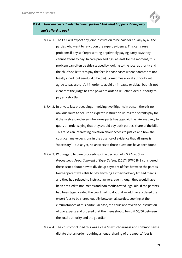# *8.7.4. How are costs divided between parties? And what happens if one party can't afford to pay?*

- 8.7.4..1. The LAA will expect any joint instruction to be paid for equally by all the parties who want to rely upon the expert evidence. This can cause problems if any self representing or privately paying party says they cannot afford to pay. In care proceedings, at least for the moment, this problem can often be side stepped by looking to the local authority and the child's solicitors to pay the fees in those cases where parents are not legally aided (but see 8.7.4.3 below). Sometimes a local authority will agree to pay a shortfall in order to avoid an impasse or delay, but it is not clear that the judge has the power to order a reluctant local authority to pay any shortfall.
- 8.7.4..2. In private law proceedings involving two litigants in person there is no obvious route to secure an expert's instruction unless the parents pay for it themselves, and even where one party has legal aid the LAA are likely to query an order saying that they should pay both parties' share of the bill. This raises an interesting question about access to justice and how the court can make decisions in the absence of evidence that all agree is 'necessary' – but as yet, no answers to those questions have been found.
- 8.7.4..3. With regard to care proceedings, the decision of *J (A Child: Care Proceedings: Apportionment of Expert's fees)* [2017] EWFC B49 considered these issues about how to divide up payment of fees between the parties. Neither parent was able to pay anything as they had very limited means and they had refused to instruct lawyers, even though they would have been entitled to non means and non merits tested legal aid. If the parents had been legally aided the court had no doubt it would have ordered the expert fees to be shared equally between all parties. Looking at the circumstances of this particular case, the court approved the instruction of two experts and ordered that their fees should be split 50/50 between the local authority and the guardian.
- 8.7.4..4. The court concluded this was a case 'in which fairness and common sense dictate that an order requiring an equal sharing of the experts' fees is